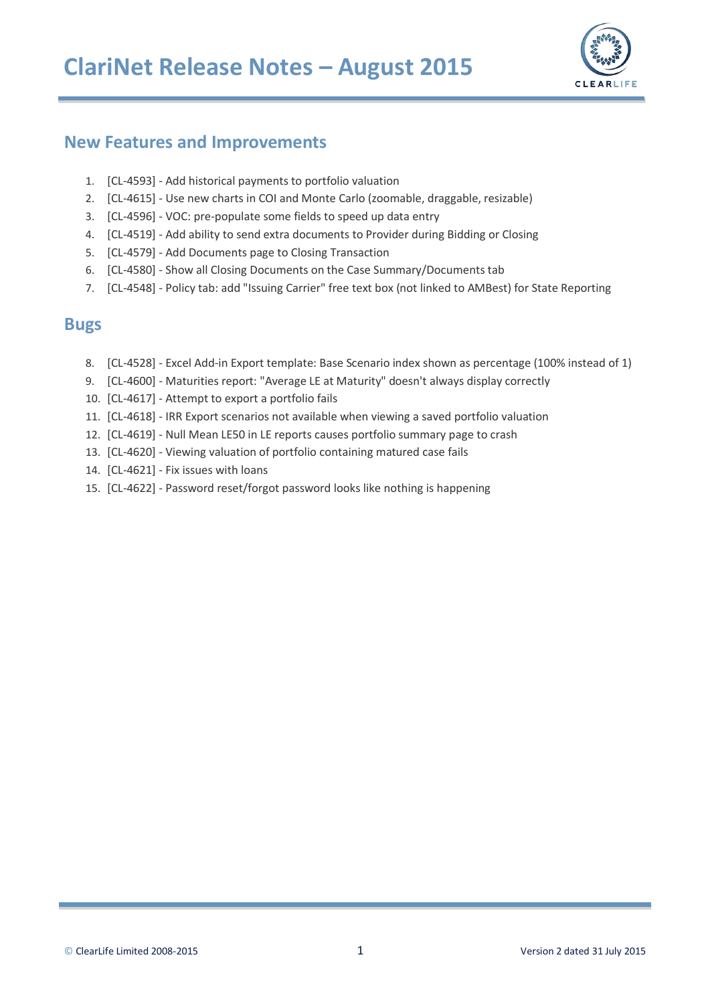

#### **New Features and Improvements**

- 1. [CL-4593] Add historical payments to portfolio valuation
- 2. [CL-4615] Use new charts in COI and Monte Carlo (zoomable, draggable, resizable)
- 3. [CL-4596] VOC: pre-populate some fields to speed up data entry
- 4. [CL-4519] Add ability to send extra documents to Provider during Bidding or Closing
- 5. [CL-4579] Add Documents page to Closing Transaction
- 6. [CL-4580] Show all Closing Documents on the Case Summary/Documents tab
- 7. [CL-4548] Policy tab: add "Issuing Carrier" free text box (not linked to AMBest) for State Reporting

#### **Bugs**

- 8. [CL-4528] Excel Add-in Export template: Base Scenario index shown as percentage (100% instead of 1)
- 9. [CL-4600] Maturities report: "Average LE at Maturity" doesn't always display correctly
- 10. [CL-4617] Attempt to export a portfolio fails
- 11. [CL-4618] IRR Export scenarios not available when viewing a saved portfolio valuation
- 12. [CL-4619] Null Mean LE50 in LE reports causes portfolio summary page to crash
- 13. [CL-4620] Viewing valuation of portfolio containing matured case fails
- 14. [CL-4621] Fix issues with loans
- 15. [CL-4622] Password reset/forgot password looks like nothing is happening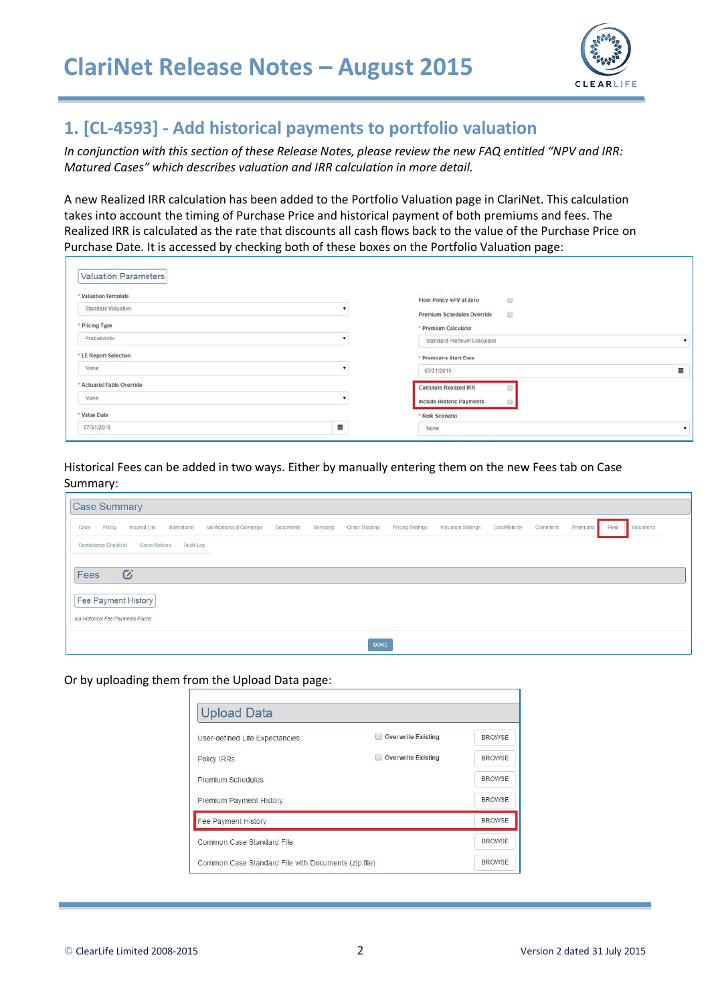

#### **1. [CL-4593] - Add historical payments to portfolio valuation**

*In conjunction with this section of these Release Notes, please review the new FAQ entitled "NPV and IRR: Matured Cases" which describes valuation and IRR calculation in more detail.*

A new Realized IRR calculation has been added to the Portfolio Valuation page in ClariNet. This calculation takes into account the timing of Purchase Price and historical payment of both premiums and fees. The Realized IRR is calculated as the rate that discounts all cash flows back to the value of the Purchase Price on Purchase Date. It is accessed by checking both of these boxes on the Portfolio Valuation page:

| Valuation Parameters       |   |                                                                   |   |
|----------------------------|---|-------------------------------------------------------------------|---|
| * Valuation Template       |   | an eraidia ianazioszen<br>$\sim$<br>Θ<br>Floor Policy NPV at Zero |   |
| Standard Valuation         |   | Premium Schedules Override<br>日                                   |   |
| * Pricing Type             |   | * Premium Calculator                                              |   |
| Probabilistic              |   | Standard Premium Calculator                                       |   |
| * LE Report Selection      |   | * Premiums Start Date                                             |   |
| None                       |   | 07/31/2015                                                        | 篇 |
| * Actuarial Table Override |   | <b>Calculate Realized IRR</b>                                     |   |
| None                       |   | Include Historic Payments                                         |   |
| - Value Date               |   | * Risk Scenario                                                   |   |
| 07/31/2015                 | 首 | None<br>- - - - - - - - - -                                       | ٠ |

Historical Fees can be added in two ways. Either by manually entering them on the new Fees tab on Case Summary:

| <b>Case Summary</b>                                                          |           |           |                |                  |                    |               |          |          |      |            |
|------------------------------------------------------------------------------|-----------|-----------|----------------|------------------|--------------------|---------------|----------|----------|------|------------|
| Illustrations<br>Policy<br>Insured Life<br>Verifications of Coverage<br>Case | Documents | Servicing | Order Tracking | Pricing Settings | Valuation Settings | Cost/Maturity | Comments | Premiums | Fees | Valuations |
| Audit Log<br><b>Compliance Checklist</b><br><b>Grace Notices</b>             |           |           |                |                  |                    |               |          |          |      |            |
|                                                                              |           |           |                |                  |                    |               |          |          |      |            |
| $\mathcal G$<br>Fees                                                         |           |           |                |                  |                    |               |          |          |      |            |
| Fee Payment History                                                          |           |           |                |                  |                    |               |          |          |      |            |
| No Historical Fee Payments Found                                             |           |           |                |                  |                    |               |          |          |      |            |
|                                                                              |           |           |                |                  |                    |               |          |          |      |            |
|                                                                              |           |           | <b>DONE</b>    |                  |                    |               |          |          |      |            |

Or by uploading them from the Upload Data page:

| User-defined Life Expectancies                      | <b>Overwrite Existing</b> | <b>BROWSE</b> |
|-----------------------------------------------------|---------------------------|---------------|
| Policy IRRs                                         | <b>Overwrite Existing</b> | <b>BROWSE</b> |
| Premium Schedules                                   |                           | <b>BROWSE</b> |
| Premium Payment History                             |                           | <b>BROWSE</b> |
| Fee Payment History                                 |                           | <b>BROWSE</b> |
| Common Case Standard File                           |                           | <b>BROWSE</b> |
| Common Case Standard File with Documents (zip file) |                           | <b>BROWSE</b> |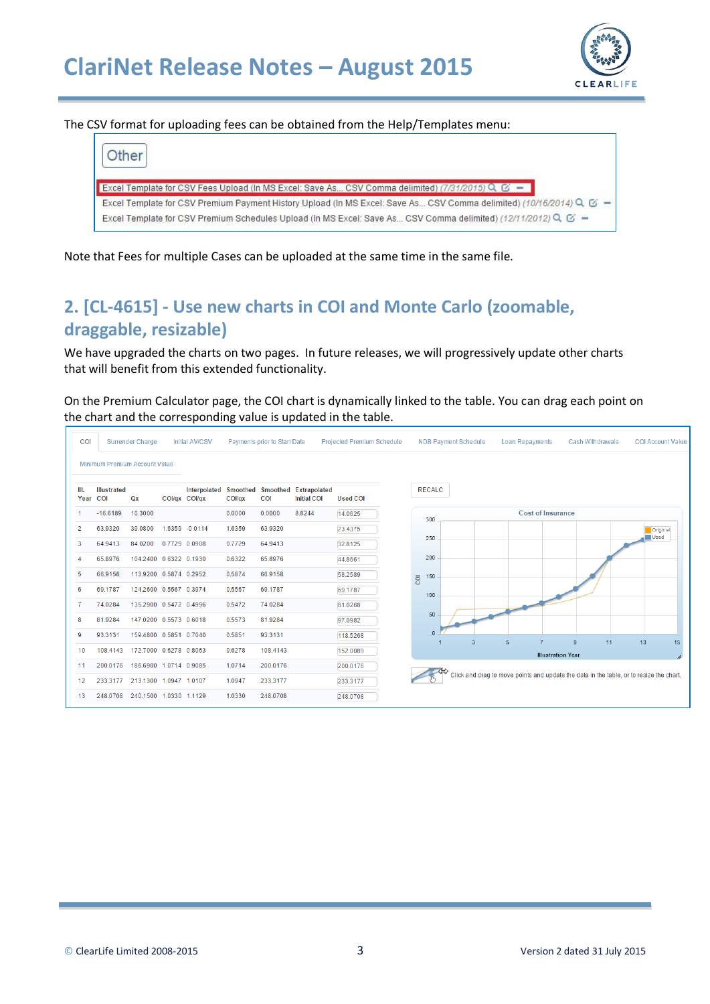

The CSV format for uploading fees can be obtained from the Help/Templates menu:

| Other                                                                                                                  |  |
|------------------------------------------------------------------------------------------------------------------------|--|
| Excel Template for CSV Fees Upload (In MS Excel: Save As CSV Comma delimited) (7/31/2015) Q. &                         |  |
| Excel Template for CSV Premium Payment History Upload (In MS Excel: Save As CSV Comma delimited) (10/16/2014) Q. $G =$ |  |
| Excel Template for CSV Premium Schedules Upload (In MS Excel: Save As CSV Comma delimited) (12/11/2012) Q. G' =        |  |

Note that Fees for multiple Cases can be uploaded at the same time in the same file.

# **2. [CL-4615] - Use new charts in COI and Monte Carlo (zoomable, draggable, resizable)**

We have upgraded the charts on two pages. In future releases, we will progressively update other charts that will benefit from this extended functionality.

On the Premium Calculator page, the COI chart is dynamically linked to the table. You can drag each point on the chart and the corresponding value is updated in the table.

| COI          |                                  | <b>Surrender Charge</b> |               | <b>Initial AV/CSV</b> |        | <b>Payments prior to Start Date</b> |                                           | <b>Projected Premium Schedule</b> | <b>NDB Payment Schedule</b><br><b>Cash Withdrawals</b><br><b>COI Account Value</b><br><b>Loan Repayments</b> |
|--------------|----------------------------------|-------------------------|---------------|-----------------------|--------|-------------------------------------|-------------------------------------------|-----------------------------------|--------------------------------------------------------------------------------------------------------------|
|              | Minimum Premium Account Value    |                         |               |                       |        |                                     |                                           |                                   |                                                                                                              |
| III.<br>Year | <b>Illustrated</b><br><b>COI</b> | Qx                      | COI/qx COI/qx | Interpolated Smoothed | COl/gx | <b>Smoothed</b><br><b>COI</b>       | <b>Extrapolated</b><br><b>Initial COI</b> | <b>Used COI</b>                   | <b>RECALC</b>                                                                                                |
|              | $-16.6189$                       | 10.3000                 |               |                       | 0.0000 | 0.0000                              | 8.8244                                    | 14.0625                           | <b>Cost of Insurance</b><br>300                                                                              |
| 2            | 63.9320                          | 39.0800                 |               | 1.6359 -0.0114        | 1.6359 | 63.9320                             |                                           | 23.4375                           | Original<br>Used                                                                                             |
| 3            | 64.9413                          | 84.0200                 | 0.7729 0.0908 |                       | 0.7729 | 64.9413                             |                                           | 32.8125                           | 250                                                                                                          |
| 4            | 65.8976                          | 104.2400 0.6322 0.1930  |               |                       | 0.6322 | 65.8976                             |                                           | 44.8661                           | 200                                                                                                          |
| 5            | 66.9158                          | 113.9200 0.5874 0.2952  |               |                       | 0.5874 | 66.9158                             |                                           | 58.2589                           | 150<br>$\overline{\text{C}}$                                                                                 |
| 6            | 69.1787                          | 124.2600 0.5567 0.3974  |               |                       | 0.5567 | 69.1787                             |                                           | 69.1787                           | 100                                                                                                          |
|              | 74.0284                          | 135.2900 0.5472 0.4996  |               |                       | 0.5472 | 74.0284                             |                                           | 81.0268                           |                                                                                                              |
| 8            | 81.9284                          | 147.0200 0.5573 0.6018  |               |                       | 0.5573 | 81.9284                             |                                           | 97.0982                           | 50                                                                                                           |
| 9            | 93.3131                          | 159.4800 0.5851 0.7040  |               |                       | 0.5851 | 93.3131                             |                                           | 118.5268                          | 13<br>5<br>11<br>15<br>$\overline{3}$<br>9                                                                   |
| 10           | 108.4143                         | 172.7000 0.6278 0.8063  |               |                       | 0.6278 | 108.4143                            |                                           | 152.0089                          | <b>Illustration Year</b>                                                                                     |
| 11           | 200.0176                         | 186.6900 1.0714 0.9085  |               |                       | 1.0714 | 200.0176                            |                                           | 200.0176                          |                                                                                                              |
| 12           | 233.3177                         | 213.1300 1.0947 1.0107  |               |                       | 1.0947 | 233.3177                            |                                           | 233.3177                          | Click and drag to move points and update the data in the table, or to resize the chart.                      |
| 13           | 248.0708                         | 240.1500 1.0330 1.1129  |               |                       | 1.0330 | 248.0708                            |                                           | 248.0708                          |                                                                                                              |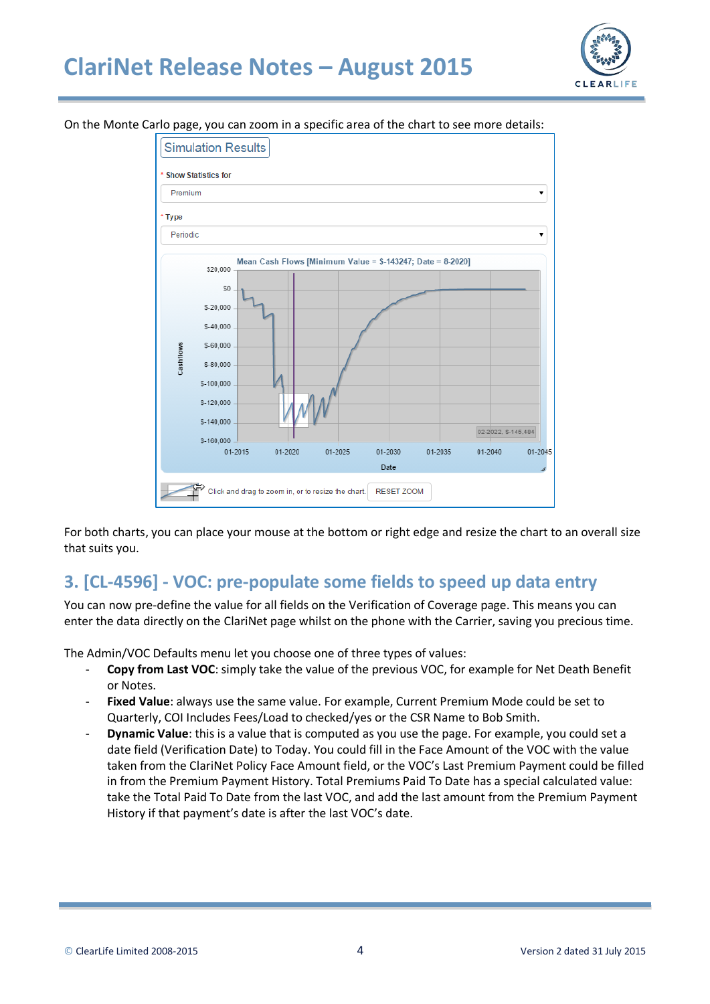# **ClariNet Release Notes – August 2015**



On the Monte Carlo page, you can zoom in a specific area of the chart to see more details:



For both charts, you can place your mouse at the bottom or right edge and resize the chart to an overall size that suits you.

#### **3. [CL-4596] - VOC: pre-populate some fields to speed up data entry**

You can now pre-define the value for all fields on the Verification of Coverage page. This means you can enter the data directly on the ClariNet page whilst on the phone with the Carrier, saving you precious time.

The Admin/VOC Defaults menu let you choose one of three types of values:

- **Copy from Last VOC**: simply take the value of the previous VOC, for example for Net Death Benefit or Notes.
- Fixed Value: always use the same value. For example, Current Premium Mode could be set to Quarterly, COI Includes Fees/Load to checked/yes or the CSR Name to Bob Smith.
- **Dynamic Value**: this is a value that is computed as you use the page. For example, you could set a date field (Verification Date) to Today. You could fill in the Face Amount of the VOC with the value taken from the ClariNet Policy Face Amount field, or the VOC's Last Premium Payment could be filled in from the Premium Payment History. Total Premiums Paid To Date has a special calculated value: take the Total Paid To Date from the last VOC, and add the last amount from the Premium Payment History if that payment's date is after the last VOC's date.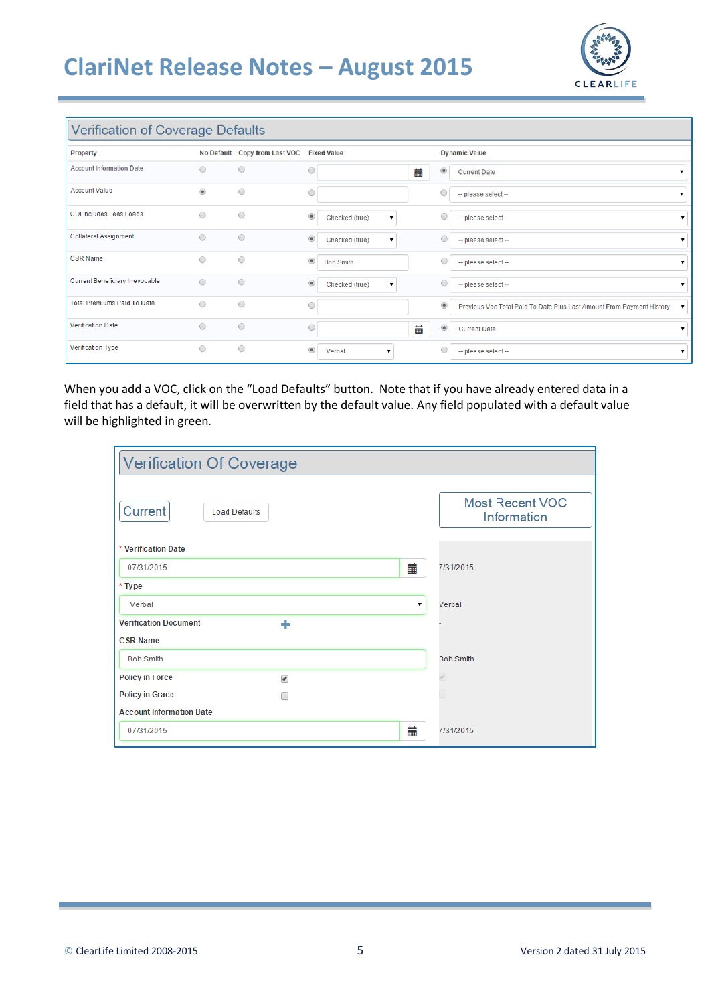# **ClariNet Release Notes – August 2015**



#### Verification of Coverage Defaults

| rormoduon or oo rorago Bondano         |              |                               |                                  |   |                  |                                                                         |   |
|----------------------------------------|--------------|-------------------------------|----------------------------------|---|------------------|-------------------------------------------------------------------------|---|
| Property                               |              | No Default Copy from Last VOC | <b>Fixed Value</b>               |   |                  | <b>Dynamic Value</b>                                                    |   |
| <b>Account Information Date</b>        | $\odot$      | $\bigcirc$                    | $\circ$                          | 藟 | $^{\circ}$       | <b>Current Date</b>                                                     |   |
| <b>Account Value</b>                   | $^\circledR$ | $\circ$                       | $\bigcirc$                       |   | $\circ$          | -- please select-                                                       |   |
| COI Includes Fees Loads                | $\bigcirc$   | $\circ$                       | $^\circledR$<br>Checked (true)   |   | $\circ$          | -- please select-                                                       | ▼ |
| Collateral Assignment                  | $\circ$      | $\circ$                       | $\circledcirc$<br>Checked (true) |   | $\bigcirc$       | -- please select-                                                       |   |
| <b>CSR Name</b>                        | $\circ$      | $\circ$                       | $^{\circ}$<br><b>Bob Smith</b>   |   | $\circ$          | -- please select-                                                       |   |
| <b>Current Beneficiary Irrevocable</b> | $\circ$      | $\circ$                       | $\circledcirc$<br>Checked (true) |   | 0                | -- please select-                                                       | ▼ |
| <b>Total Premiums Paid To Date</b>     | $\circ$      | $\circ$                       | $\bigcirc$                       |   | $^\circlede$     | Previous Voc Total Paid To Date Plus Last Amount From Payment History ▼ |   |
| <b>Verification Date</b>               | $\circ$      | $\circ$                       | $\circ$                          | 藟 | $\circledbullet$ | <b>Current Date</b>                                                     |   |
| <b>Verification Type</b>               | $\circ$      | $\circ$                       | $\circledcirc$<br>Verbal         |   | 0                | -- please select-                                                       | ▼ |

When you add a VOC, click on the "Load Defaults" button. Note that if you have already entered data in a field that has a default, it will be overwritten by the default value. Any field populated with a default value will be highlighted in green.

| <b>Verification Of Coverage</b> |   |                                       |
|---------------------------------|---|---------------------------------------|
| Current<br><b>Load Defaults</b> |   | <b>Most Recent VOC</b><br>Information |
| * Verification Date             |   |                                       |
| 07/31/2015                      |   | 蘦<br>7/31/2015                        |
| * Type                          |   |                                       |
| Verbal                          |   | Verbal                                |
| <b>Verification Document</b>    | ٠ |                                       |
| <b>CSR Name</b>                 |   |                                       |
| <b>Bob Smith</b>                |   | <b>Bob Smith</b>                      |
| <b>Policy in Force</b>          | ✔ |                                       |
| <b>Policy in Grace</b>          |   | 71                                    |
| <b>Account Information Date</b> |   |                                       |
| 07/31/2015                      |   | 葍<br>7/31/2015                        |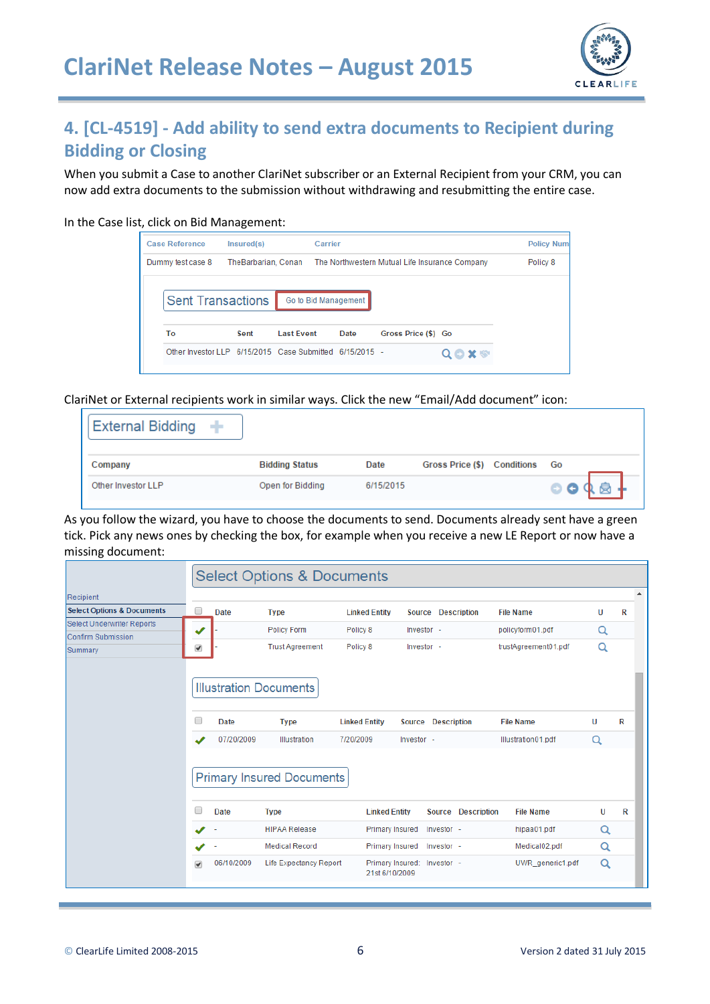

# **4. [CL-4519] - Add ability to send extra documents to Recipient during Bidding or Closing**

When you submit a Case to another ClariNet subscriber or an External Recipient from your CRM, you can now add extra documents to the submission without withdrawing and resubmitting the entire case.

In the Case list, click on Bid Management:

| <b>Case Reference</b>                                   | Insured(s)          |                   | Carrier              |                                                |           | <b>Policy Numl</b> |
|---------------------------------------------------------|---------------------|-------------------|----------------------|------------------------------------------------|-----------|--------------------|
| Dummy test case 8                                       | TheBarbarian, Conan |                   |                      | The Northwestern Mutual Life Insurance Company |           | Policy 8           |
| <b>Sent Transactions</b>                                |                     |                   | Go to Bid Management |                                                |           |                    |
| To                                                      | Sent                | <b>Last Event</b> | Date                 | Gross Price (\$) Go                            |           |                    |
| Other Investor LLP 6/15/2015 Case Submitted 6/15/2015 - |                     |                   |                      |                                                | $x \circ$ |                    |

ClariNet or External recipients work in similar ways. Click the new "Email/Add document" icon:

| External Bidding $+$ |                       |           |                             |           |
|----------------------|-----------------------|-----------|-----------------------------|-----------|
| Company              | <b>Bidding Status</b> | Date      | Gross Price (\$) Conditions | Go        |
| Other Investor LLP   | Open for Bidding      | 6/15/2015 |                             | $\bullet$ |

As you follow the wizard, you have to choose the documents to send. Documents already sent have a green tick. Pick any news ones by checking the box, for example when you receive a new LE Report or now have a missing document:

|                                       |   |                               | <b>Select Options &amp; Documents</b>           |                                               |            |                              |                      |          |          |  |  |
|---------------------------------------|---|-------------------------------|-------------------------------------------------|-----------------------------------------------|------------|------------------------------|----------------------|----------|----------|--|--|
| Recipient                             |   |                               |                                                 |                                               |            |                              |                      |          | $\Delta$ |  |  |
| <b>Select Options &amp; Documents</b> | □ | Date                          | <b>Type</b>                                     | <b>Linked Entity</b>                          |            | Source Description           | <b>File Name</b>     | U        | R        |  |  |
| <b>Select Underwriter Reports</b>     |   |                               | <b>Policy Form</b>                              | Policy 8                                      | Investor - |                              | policyform01.pdf     | Q        |          |  |  |
| <b>Confirm Submission</b><br>Summary  | ✔ |                               | <b>Trust Agreement</b>                          | Policy 8                                      | Investor - |                              | trustAgreement01.pdf | Q        |          |  |  |
|                                       |   |                               |                                                 |                                               |            |                              |                      |          |          |  |  |
|                                       |   | <b>Illustration Documents</b> |                                                 |                                               |            |                              |                      |          |          |  |  |
|                                       |   | <b>Date</b>                   | <b>Type</b>                                     | <b>Linked Entity</b>                          |            | Source Description           | <b>File Name</b>     | U        | R        |  |  |
|                                       |   | 07/20/2009                    | Illustration                                    | 7/20/2009                                     | Investor - |                              | Illustration01.pdf   | $\alpha$ |          |  |  |
|                                       |   | <b>Date</b>                   | <b>Primary Insured Documents</b><br><b>Type</b> | <b>Linked Entity</b>                          |            | <b>Description</b><br>Source | <b>File Name</b>     | U        | R        |  |  |
|                                       |   |                               | <b>HIPAA Release</b>                            | <b>Primary Insured</b>                        |            | Investor -                   | hipaa01.pdf          | Q        |          |  |  |
|                                       |   |                               | <b>Medical Record</b>                           | <b>Primary Insured</b>                        |            | Investor -                   | Medical02.pdf        | Q        |          |  |  |
|                                       | ᢦ | 06/10/2009                    | Life Expectancy Report                          | Primary Insured: Investor -<br>21st 6/10/2009 |            |                              | UWR generic1.pdf     | Q        |          |  |  |
|                                       |   |                               |                                                 |                                               |            |                              |                      |          |          |  |  |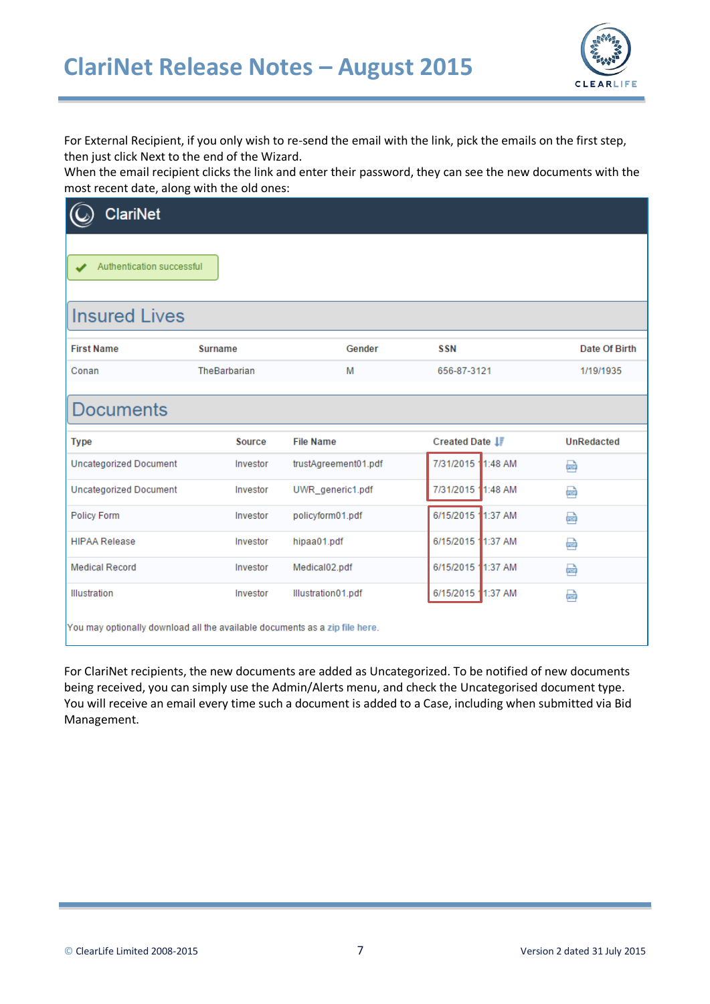

For External Recipient, if you only wish to re-send the email with the link, pick the emails on the first step, then just click Next to the end of the Wizard.

When the email recipient clicks the link and enter their password, they can see the new documents with the most recent date, along with the old ones:

| <b>ClariNet</b>                                                             |                |                      |                    |                   |  |  |  |  |
|-----------------------------------------------------------------------------|----------------|----------------------|--------------------|-------------------|--|--|--|--|
| Authentication successful                                                   |                |                      |                    |                   |  |  |  |  |
| <b>Insured Lives</b>                                                        |                |                      |                    |                   |  |  |  |  |
| <b>First Name</b>                                                           | <b>Surname</b> | Gender               | <b>SSN</b>         | Date Of Birth     |  |  |  |  |
| Conan                                                                       | TheBarbarian   | M                    | 656-87-3121        | 1/19/1935         |  |  |  |  |
| <b>Documents</b>                                                            |                |                      |                    |                   |  |  |  |  |
| <b>Type</b>                                                                 | Source         | <b>File Name</b>     | Created Date I     | <b>UnRedacted</b> |  |  |  |  |
| <b>Uncategorized Document</b>                                               | Investor       | trustAgreement01.pdf | 7/31/2015 11:48 AM | 靊                 |  |  |  |  |
| <b>Uncategorized Document</b>                                               | Investor       | UWR_generic1.pdf     | 7/31/2015 1:48 AM  | 凾                 |  |  |  |  |
| <b>Policy Form</b>                                                          | Investor       | policyform01.pdf     | 6/15/2015 1:37 AM  | 凾                 |  |  |  |  |
| <b>HIPAA Release</b>                                                        | Investor       | hipaa01.pdf          | 6/15/2015 11:37 AM | 凾                 |  |  |  |  |
| <b>Medical Record</b>                                                       | Investor       | Medical02.pdf        | 6/15/2015 11:37 AM | 凾                 |  |  |  |  |
| Illustration                                                                | Investor       | Illustration01.pdf   | 6/15/2015 1:37 AM  | 畾                 |  |  |  |  |
| You may optionally download all the available documents as a zip file here. |                |                      |                    |                   |  |  |  |  |

For ClariNet recipients, the new documents are added as Uncategorized. To be notified of new documents being received, you can simply use the Admin/Alerts menu, and check the Uncategorised document type. You will receive an email every time such a document is added to a Case, including when submitted via Bid Management.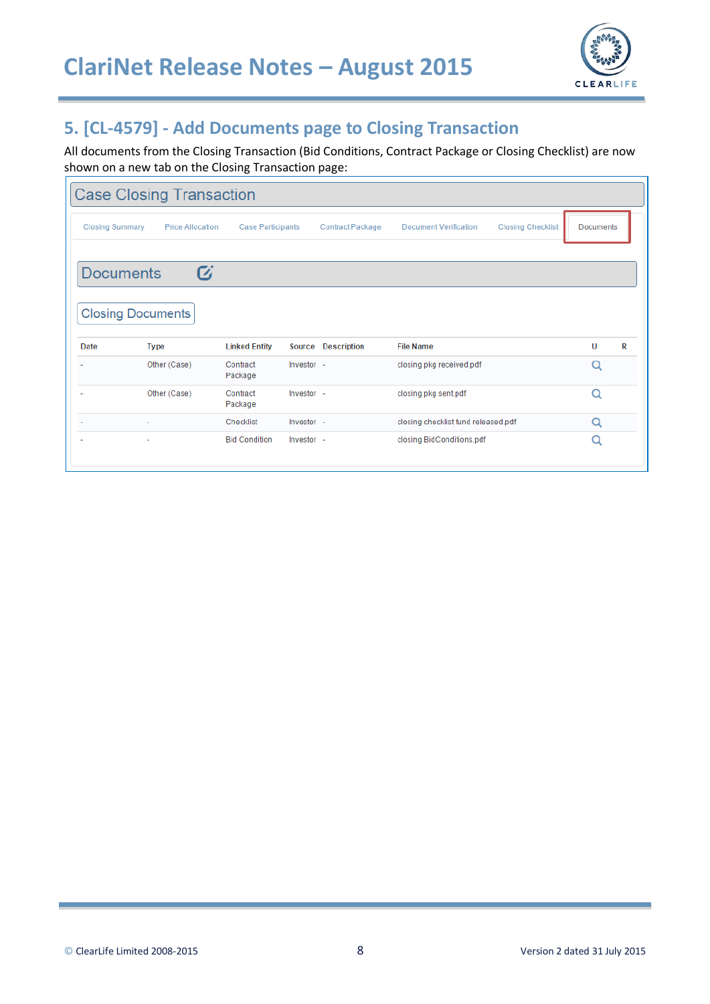

## **5. [CL-4579] - Add Documents page to Closing Transaction**

All documents from the Closing Transaction (Bid Conditions, Contract Package or Closing Checklist) are now shown on a new tab on the Closing Transaction page:

| <b>Case Closing Transaction</b> |                                              |                          |            |                         |                                     |                          |                  |   |  |  |
|---------------------------------|----------------------------------------------|--------------------------|------------|-------------------------|-------------------------------------|--------------------------|------------------|---|--|--|
| <b>Closing Summary</b>          | <b>Price Allocation</b>                      | <b>Case Participants</b> |            | <b>Contract Package</b> | <b>Document Verification</b>        | <b>Closing Checklist</b> | <b>Documents</b> |   |  |  |
| <b>Documents</b>                | $\boldsymbol{G}$<br><b>Closing Documents</b> |                          |            |                         |                                     |                          |                  |   |  |  |
| Date                            | <b>Type</b>                                  | <b>Linked Entity</b>     | Source     | <b>Description</b>      | <b>File Name</b>                    |                          | U                | R |  |  |
|                                 | Other (Case)                                 | Contract<br>Package      | Investor - |                         | closing pkg received.pdf            |                          | Q                |   |  |  |
|                                 | Other (Case)                                 | Contract<br>Package      | Investor - |                         | closing pkg sent.pdf                |                          | Q                |   |  |  |
|                                 |                                              | Checklist                | Investor - |                         | closing checklist fund released.pdf |                          | Q                |   |  |  |
|                                 | ۰                                            | <b>Bid Condition</b>     | Investor - |                         | closing BidConditions.pdf           |                          | Q                |   |  |  |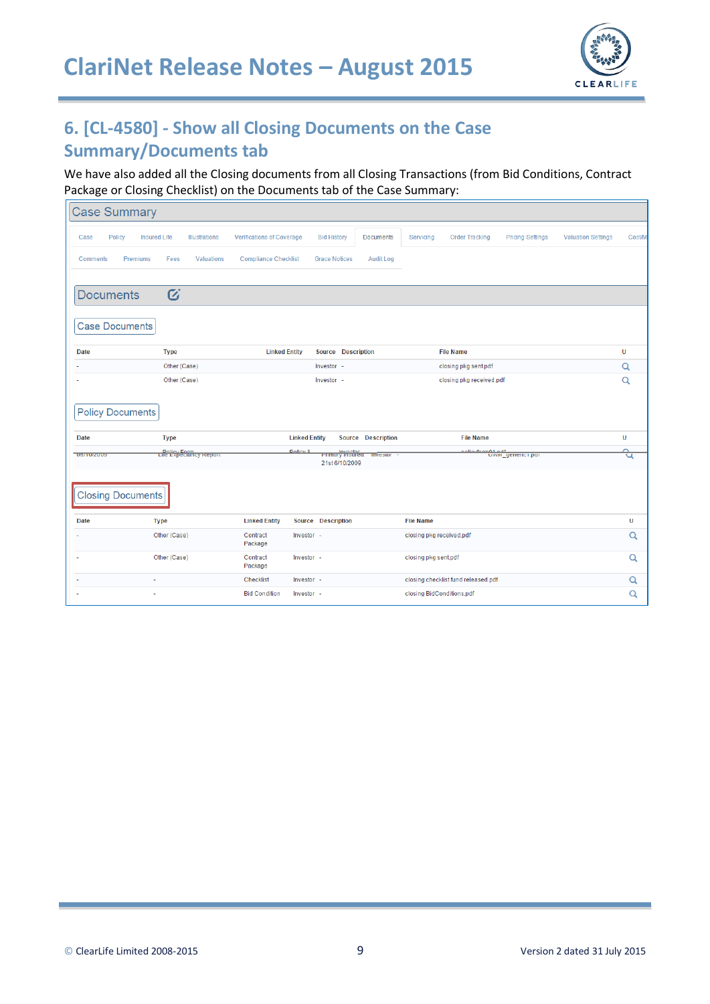

# **6. [CL-4580] - Show all Closing Documents on the Case Summary/Documents tab**

We have also added all the Closing documents from all Closing Transactions (from Bid Conditions, Contract Package or Closing Checklist) on the Documents tab of the Case Summary:

| <b>Case Summary</b>      |                               |                  |                               |                                  |                                            |                      |                             |                                     |                       |                                        |                           |          |
|--------------------------|-------------------------------|------------------|-------------------------------|----------------------------------|--------------------------------------------|----------------------|-----------------------------|-------------------------------------|-----------------------|----------------------------------------|---------------------------|----------|
| Case                     | <b>Insured Life</b><br>Policy |                  | <b>Illustrations</b>          | <b>Verifications of Coverage</b> |                                            | <b>Bid History</b>   | <b>Documents</b>            | Servicing                           | <b>Order Tracking</b> | <b>Pricing Settings</b>                | <b>Valuation Settings</b> | Cost/M   |
| <b>Comments</b>          | Premiums                      | Fees             | <b>Valuations</b>             | <b>Compliance Checklist</b>      |                                            | <b>Grace Notices</b> | <b>Audit Log</b>            |                                     |                       |                                        |                           |          |
|                          |                               |                  |                               |                                  |                                            |                      |                             |                                     |                       |                                        |                           |          |
|                          | <b>Documents</b>              | $\boldsymbol{G}$ |                               |                                  |                                            |                      |                             |                                     |                       |                                        |                           |          |
|                          | <b>Case Documents</b>         |                  |                               |                                  |                                            |                      |                             |                                     |                       |                                        |                           |          |
| <b>Date</b>              |                               | <b>Type</b>      |                               |                                  | Source Description<br><b>Linked Entity</b> |                      |                             | <b>File Name</b>                    |                       |                                        |                           | Ù        |
|                          | Other (Case)                  |                  |                               |                                  | Investor -                                 |                      |                             | closing pkg sent.pdf                |                       |                                        |                           | $\alpha$ |
|                          | Other (Case)                  |                  |                               |                                  | Investor -                                 |                      |                             | closing pkg received.pdf            |                       |                                        |                           | Q        |
| <b>Date</b>              | <b>Policy Documents</b>       | <b>Type</b>      |                               |                                  | <b>Linked Entity</b>                       |                      | <b>Source Description</b>   |                                     | <b>File Name</b>      |                                        |                           | U        |
|                          |                               |                  | <b>Life Expeciancy Report</b> |                                  | <b>Doliny 0</b>                            |                      |                             |                                     |                       | nelieuform04.neff<br>UVVK_generic1.pdf |                           | ≏        |
| <b>UOI TUIZUUS</b>       |                               |                  |                               |                                  |                                            | 21st 6/10/2009       | Primary insured. investor - |                                     |                       |                                        |                           | प        |
| <b>Closing Documents</b> |                               |                  |                               |                                  |                                            |                      |                             |                                     |                       |                                        |                           |          |
| <b>Date</b>              |                               | <b>Type</b>      |                               | <b>Linked Entity</b>             | Source Description                         |                      |                             | <b>File Name</b>                    |                       |                                        |                           | U        |
|                          |                               | Other (Case)     |                               |                                  | Investor -                                 |                      |                             | closing pkg received.pdf            |                       |                                        |                           | Q        |
|                          | Other (Case)                  |                  |                               | Contract<br>Package              | Investor -                                 |                      |                             | closing pkg sent.pdf                |                       |                                        |                           | Q        |
|                          | i,                            |                  |                               |                                  | Checklist<br>Investor -                    |                      |                             | closing checklist fund released.pdf |                       |                                        |                           | Q        |
|                          | i,                            |                  |                               | <b>Bid Condition</b>             | Investor -                                 |                      |                             | closing BidConditions.pdf           |                       |                                        |                           | Q        |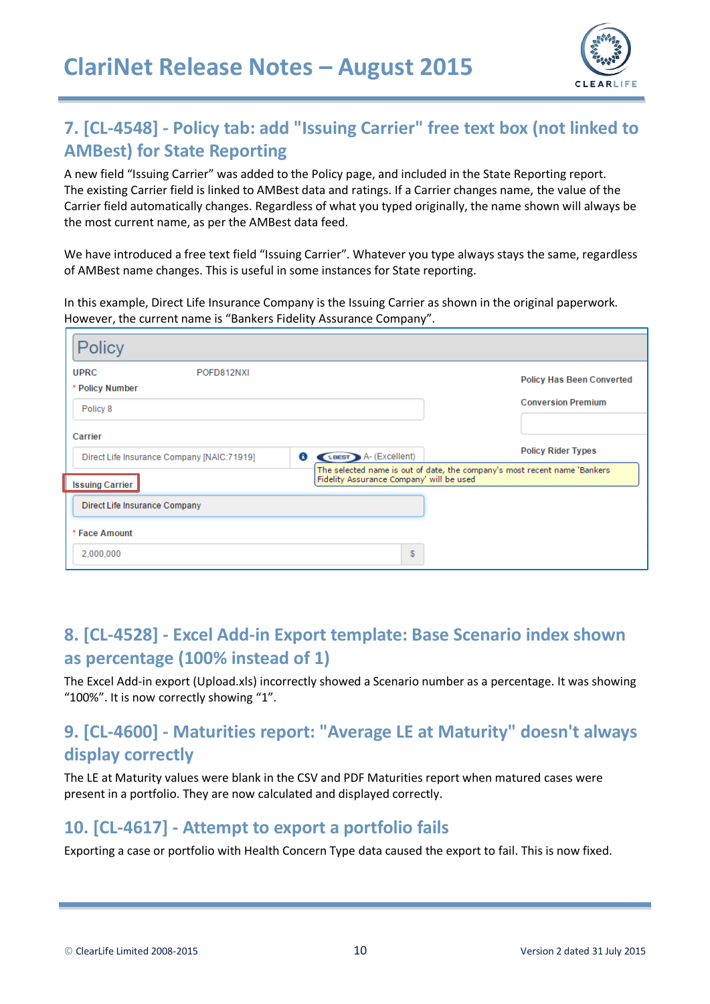

# **7. [CL-4548] - Policy tab: add "Issuing Carrier" free text box (not linked to AMBest) for State Reporting**

A new field "Issuing Carrier" was added to the Policy page, and included in the State Reporting report. The existing Carrier field is linked to AMBest data and ratings. If a Carrier changes name, the value of the Carrier field automatically changes. Regardless of what you typed originally, the name shown will always be the most current name, as per the AMBest data feed.

We have introduced a free text field "Issuing Carrier". Whatever you type always stays the same, regardless of AMBest name changes. This is useful in some instances for State reporting.

In this example, Direct Life Insurance Company is the Issuing Carrier as shown in the original paperwork. However, the current name is "Bankers Fidelity Assurance Company".

| <b>Policy</b>                                              |                                                                                                                                        |  |  |  |  |  |  |  |  |
|------------------------------------------------------------|----------------------------------------------------------------------------------------------------------------------------------------|--|--|--|--|--|--|--|--|
| <b>UPRC</b><br>POFD812NXI<br>* Policy Number               | <b>Policy Has Been Converted</b>                                                                                                       |  |  |  |  |  |  |  |  |
| Policy 8                                                   | <b>Conversion Premium</b>                                                                                                              |  |  |  |  |  |  |  |  |
| Carrier<br>6<br>Direct Life Insurance Company [NAIC:71919] | <b>Policy Rider Types</b><br><b>ABEST</b> A- (Excellent)<br>The selected name is out of date, the company's most recent name 'Bankers' |  |  |  |  |  |  |  |  |
| <b>Issuing Carrier</b>                                     | Fidelity Assurance Company' will be used                                                                                               |  |  |  |  |  |  |  |  |
| Direct Life Insurance Company                              |                                                                                                                                        |  |  |  |  |  |  |  |  |
| * Face Amount                                              |                                                                                                                                        |  |  |  |  |  |  |  |  |
| 2,000,000                                                  | \$                                                                                                                                     |  |  |  |  |  |  |  |  |

## **8. [CL-4528] - Excel Add-in Export template: Base Scenario index shown as percentage (100% instead of 1)**

The Excel Add-in export (Upload.xls) incorrectly showed a Scenario number as a percentage. It was showing "100%". It is now correctly showing "1".

## **9. [CL-4600] - Maturities report: "Average LE at Maturity" doesn't always display correctly**

The LE at Maturity values were blank in the CSV and PDF Maturities report when matured cases were present in a portfolio. They are now calculated and displayed correctly.

#### **10. [CL-4617] - Attempt to export a portfolio fails**

Exporting a case or portfolio with Health Concern Type data caused the export to fail. This is now fixed.